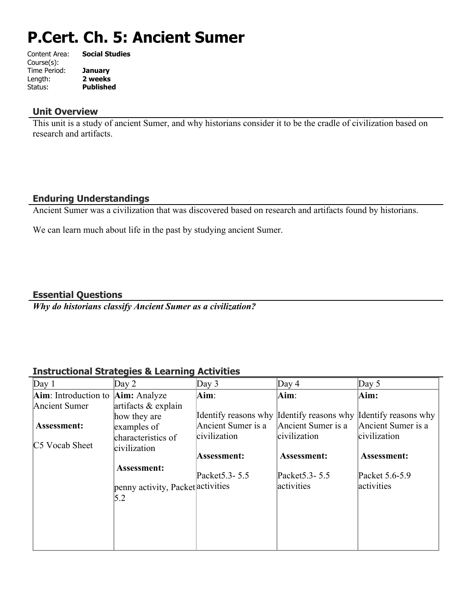# **P.Cert. Ch. 5: Ancient Sumer**

| Content Area: | <b>Social Studies</b> |
|---------------|-----------------------|
| Course(s):    |                       |
| Time Period:  | <b>January</b>        |
| Length:       | 2 weeks               |
| Status:       | <b>Published</b>      |
|               |                       |

## **Unit Overview**

This unit is a study of ancient Sumer, and why historians consider it to be the cradle of civilization based on research and artifacts.

## **Enduring Understandings**

Ancient Sumer was a civilization that was discovered based on research and artifacts found by historians.

We can learn much about life in the past by studying ancient Sumer.

## **Essential Questions**

*Why do historians classify Ancient Sumer as a civilization?*

## **Instructional Strategies & Learning Activities**

| Day 1                             | Day $2$                           | Day $3$            | Day $4$                                                        | Day $5$            |
|-----------------------------------|-----------------------------------|--------------------|----------------------------------------------------------------|--------------------|
| Aim: Introduction to Aim: Analyze |                                   | Aim:               | $\mathbf{Aim}$ :                                               | Aim:               |
| Ancient Sumer                     | artifacts $&$ explain             |                    |                                                                |                    |
|                                   | how they are                      |                    | Identify reasons why Identify reasons why Identify reasons why |                    |
| <b>Assessment:</b>                | examples of                       | Ancient Sumer is a | Ancient Sumer is a                                             | Ancient Sumer is a |
| C5 Vocab Sheet                    | characteristics of                | civilization       | civilization                                                   | civilization       |
|                                   | civilization                      | Assessment:        | Assessment:                                                    | <b>Assessment:</b> |
|                                   | Assessment:                       | Packet 5.3 - 5.5   | Packet 5.3 - 5.5                                               | Packet 5.6-5.9     |
|                                   | penny activity, Packet activities |                    | activities                                                     | activities         |
|                                   | 5.2                               |                    |                                                                |                    |
|                                   |                                   |                    |                                                                |                    |
|                                   |                                   |                    |                                                                |                    |
|                                   |                                   |                    |                                                                |                    |
|                                   |                                   |                    |                                                                |                    |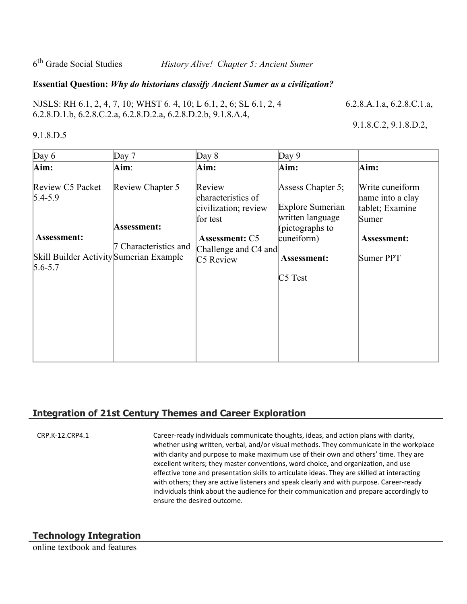6<sup>th</sup> Grade Social Studies

History Alive! Chapter 5: Ancient Sumer

#### **Essential Question:** *Why do historians classify Ancient Sumer as a civilization?*

NJSLS: RH 6.1, 2, 4, 7, 10; WHST 6.4, 10; L 6.1, 2, 6; SL 6.1, 2, 4 6.2.8.A.1.a, 6.2.8.C.1.a, 6.2.8.D.1.b, 6.2.8.C.2.a, 6.2.8.D.2.a, 6.2.8.D.2.b, 9.1.8.A.4,

9.1.8.C.2, 9.1.8.D.2,

#### 9.1.8.D.5

 $Day 6$  Day 7 Day 8 Day 9 **Aim:**  Review C5 Packet  $5.4 - 5.9$ **Assessment:** Skill Builder Activity Sumerian Example  $5.6 - 5.7$ **Aim**: Review Chapter 5 **Assessment:** 7 Characteristics and **Aim:** Review characteristics of civilization; review for test  **Assessment:** C5 Challenge and C4 and C5 Review **Aim:** Assess Chapter 5; Explore Sumerian written language (pictographs to cuneiform) **Assessment:** C5 Test **Aim:** Write cuneiform name into a clay tablet; Examine Sumer  **Assessment:** Sumer PPT

## **Integration of 21st Century Themes and Career Exploration**

CRP.K-12.CRP4.1 Career-ready individuals communicate thoughts, ideas, and action plans with clarity, whether using written, verbal, and/or visual methods. They communicate in the workplace with clarity and purpose to make maximum use of their own and others' time. They are excellent writers; they master conventions, word choice, and organization, and use effective tone and presentation skills to articulate ideas. They are skilled at interacting with others; they are active listeners and speak clearly and with purpose. Career-ready individuals think about the audience for their communication and prepare accordingly to ensure the desired outcome.

## **Technology Integration**

online textbook and features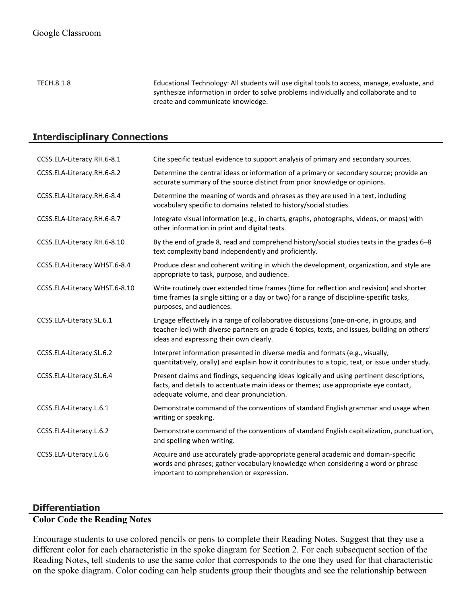TECH.8.1.8 Educational Technology: All students will use digital tools to access, manage, evaluate, and synthesize information in order to solve problems individually and collaborate and to create and communicate knowledge.

## **Interdisciplinary Connections**

| CCSS.ELA-Literacy.RH.6-8.1    | Cite specific textual evidence to support analysis of primary and secondary sources.                                                                                                                                              |
|-------------------------------|-----------------------------------------------------------------------------------------------------------------------------------------------------------------------------------------------------------------------------------|
| CCSS.ELA-Literacy.RH.6-8.2    | Determine the central ideas or information of a primary or secondary source; provide an<br>accurate summary of the source distinct from prior knowledge or opinions.                                                              |
| CCSS.ELA-Literacy.RH.6-8.4    | Determine the meaning of words and phrases as they are used in a text, including<br>vocabulary specific to domains related to history/social studies.                                                                             |
| CCSS.ELA-Literacy.RH.6-8.7    | Integrate visual information (e.g., in charts, graphs, photographs, videos, or maps) with<br>other information in print and digital texts.                                                                                        |
| CCSS.ELA-Literacy.RH.6-8.10   | By the end of grade 8, read and comprehend history/social studies texts in the grades 6-8<br>text complexity band independently and proficiently.                                                                                 |
| CCSS.ELA-Literacy.WHST.6-8.4  | Produce clear and coherent writing in which the development, organization, and style are<br>appropriate to task, purpose, and audience.                                                                                           |
| CCSS.ELA-Literacy.WHST.6-8.10 | Write routinely over extended time frames (time for reflection and revision) and shorter<br>time frames (a single sitting or a day or two) for a range of discipline-specific tasks,<br>purposes, and audiences.                  |
| CCSS.ELA-Literacy.SL.6.1      | Engage effectively in a range of collaborative discussions (one-on-one, in groups, and<br>teacher-led) with diverse partners on grade 6 topics, texts, and issues, building on others'<br>ideas and expressing their own clearly. |
| CCSS.ELA-Literacy.SL.6.2      | Interpret information presented in diverse media and formats (e.g., visually,<br>quantitatively, orally) and explain how it contributes to a topic, text, or issue under study.                                                   |
| CCSS.ELA-Literacy.SL.6.4      | Present claims and findings, sequencing ideas logically and using pertinent descriptions,<br>facts, and details to accentuate main ideas or themes; use appropriate eye contact,<br>adequate volume, and clear pronunciation.     |
| CCSS.ELA-Literacy.L.6.1       | Demonstrate command of the conventions of standard English grammar and usage when<br>writing or speaking.                                                                                                                         |
| CCSS.ELA-Literacy.L.6.2       | Demonstrate command of the conventions of standard English capitalization, punctuation,<br>and spelling when writing.                                                                                                             |
| CCSS.ELA-Literacy.L.6.6       | Acquire and use accurately grade-appropriate general academic and domain-specific<br>words and phrases; gather vocabulary knowledge when considering a word or phrase<br>important to comprehension or expression.                |

## **Differentiation**

# **Color Code the Reading Notes**

Encourage students to use colored pencils or pens to complete their Reading Notes. Suggest that they use a different color for each characteristic in the spoke diagram for Section 2. For each subsequent section of the Reading Notes, tell students to use the same color that corresponds to the one they used for that characteristic on the spoke diagram. Color coding can help students group their thoughts and see the relationship between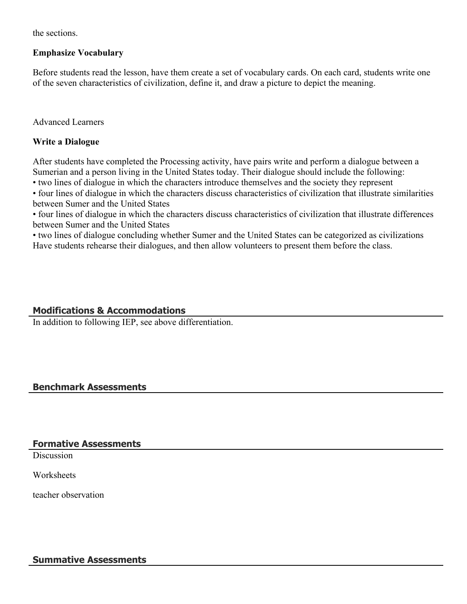the sections.

#### **Emphasize Vocabulary**

Before students read the lesson, have them create a set of vocabulary cards. On each card, students write one of the seven characteristics of civilization, define it, and draw a picture to depict the meaning.

Advanced Learners

### **Write a Dialogue**

After students have completed the Processing activity, have pairs write and perform a dialogue between a Sumerian and a person living in the United States today. Their dialogue should include the following:

• two lines of dialogue in which the characters introduce themselves and the society they represent

• four lines of dialogue in which the characters discuss characteristics of civilization that illustrate similarities between Sumer and the United States

• four lines of dialogue in which the characters discuss characteristics of civilization that illustrate differences between Sumer and the United States

• two lines of dialogue concluding whether Sumer and the United States can be categorized as civilizations Have students rehearse their dialogues, and then allow volunteers to present them before the class.

## **Modifications & Accommodations**

In addition to following IEP, see above differentiation.

## **Benchmark Assessments**

#### **Formative Assessments**

**Discussion** 

**Worksheets** 

teacher observation